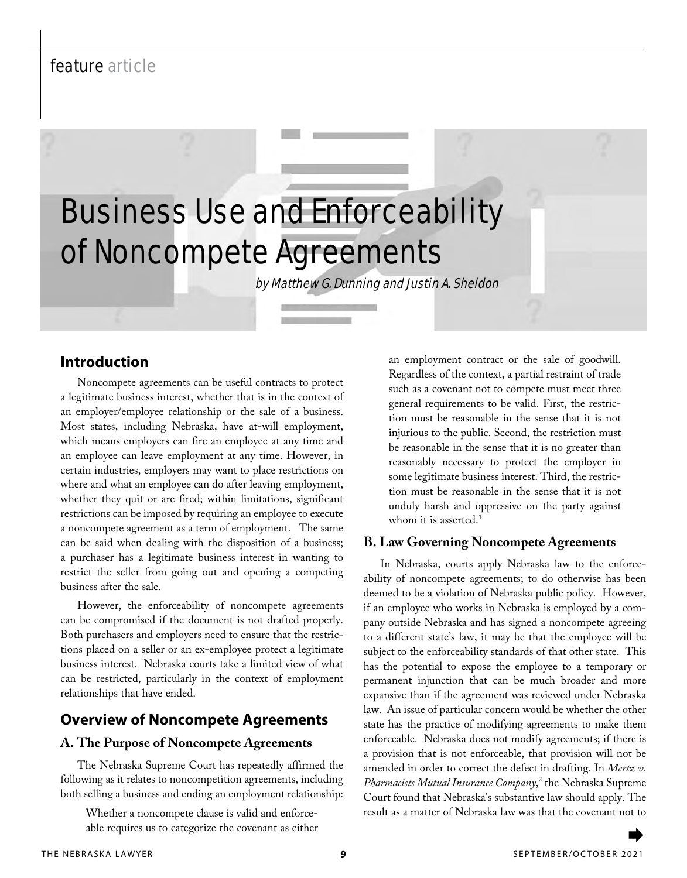# feature article

# Business Use and Enforceability of Noncompete Agreements

by Matthew G. Dunning and Justin A. Sheldon

### **Introduction**

Noncompete agreements can be useful contracts to protect a legitimate business interest, whether that is in the context of an employer/employee relationship or the sale of a business. Most states, including Nebraska, have at-will employment, which means employers can fire an employee at any time and an employee can leave employment at any time. However, in certain industries, employers may want to place restrictions on where and what an employee can do after leaving employment, whether they quit or are fired; within limitations, significant restrictions can be imposed by requiring an employee to execute a noncompete agreement as a term of employment. The same can be said when dealing with the disposition of a business; a purchaser has a legitimate business interest in wanting to restrict the seller from going out and opening a competing business after the sale.

However, the enforceability of noncompete agreements can be compromised if the document is not drafted properly. Both purchasers and employers need to ensure that the restrictions placed on a seller or an ex-employee protect a legitimate business interest. Nebraska courts take a limited view of what can be restricted, particularly in the context of employment relationships that have ended.

## **Overview of Noncompete Agreements**

### **A. The Purpose of Noncompete Agreements**

The Nebraska Supreme Court has repeatedly affirmed the following as it relates to noncompetition agreements, including both selling a business and ending an employment relationship:

Whether a noncompete clause is valid and enforceable requires us to categorize the covenant as either

an employment contract or the sale of goodwill. Regardless of the context, a partial restraint of trade such as a covenant not to compete must meet three general requirements to be valid. First, the restriction must be reasonable in the sense that it is not injurious to the public. Second, the restriction must be reasonable in the sense that it is no greater than reasonably necessary to protect the employer in some legitimate business interest. Third, the restriction must be reasonable in the sense that it is not unduly harsh and oppressive on the party against whom it is asserted.<sup>1</sup>

### **B. Law Governing Noncompete Agreements**

In Nebraska, courts apply Nebraska law to the enforceability of noncompete agreements; to do otherwise has been deemed to be a violation of Nebraska public policy. However, if an employee who works in Nebraska is employed by a company outside Nebraska and has signed a noncompete agreeing to a different state's law, it may be that the employee will be subject to the enforceability standards of that other state. This has the potential to expose the employee to a temporary or permanent injunction that can be much broader and more expansive than if the agreement was reviewed under Nebraska law. An issue of particular concern would be whether the other state has the practice of modifying agreements to make them enforceable. Nebraska does not modify agreements; if there is a provision that is not enforceable, that provision will not be amended in order to correct the defect in drafting. In *Mertz v. Pharmacists Mutual Insurance Company*, 2 the Nebraska Supreme Court found that Nebraska's substantive law should apply. The result as a matter of Nebraska law was that the covenant not to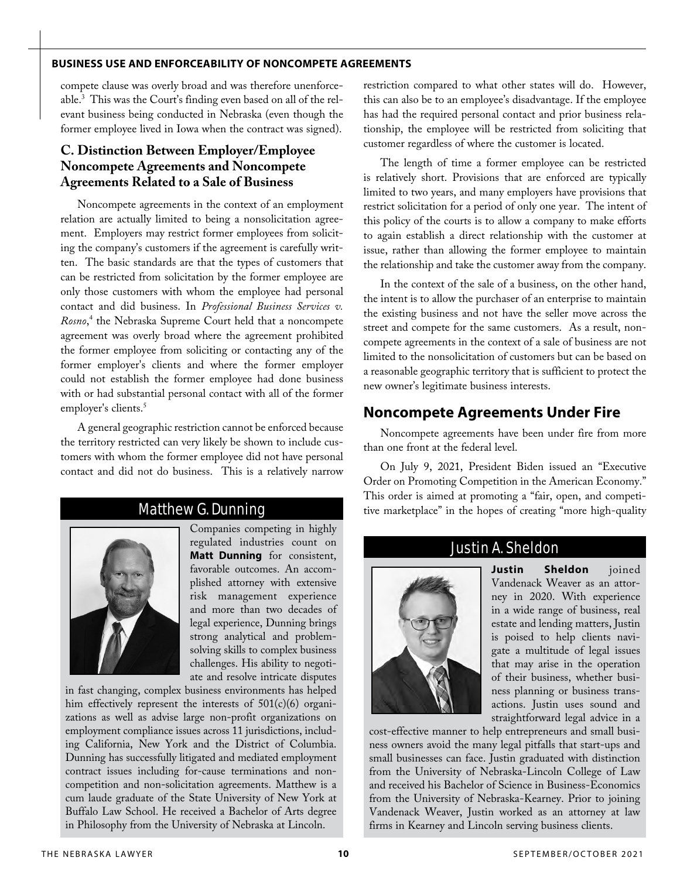### **BUSINESS USE AND ENFORCEABILITY OF NONCOMPETE AGREEMENTS**

compete clause was overly broad and was therefore unenforceable.3 This was the Court's finding even based on all of the relevant business being conducted in Nebraska (even though the former employee lived in Iowa when the contract was signed).

### **C. Distinction Between Employer/Employee Noncompete Agreements and Noncompete Agreements Related to a Sale of Business**

Noncompete agreements in the context of an employment relation are actually limited to being a nonsolicitation agreement. Employers may restrict former employees from soliciting the company's customers if the agreement is carefully written. The basic standards are that the types of customers that can be restricted from solicitation by the former employee are only those customers with whom the employee had personal contact and did business. In *Professional Business Services v. Rosno*, 4 the Nebraska Supreme Court held that a noncompete agreement was overly broad where the agreement prohibited the former employee from soliciting or contacting any of the former employer's clients and where the former employer could not establish the former employee had done business with or had substantial personal contact with all of the former employer's clients.<sup>5</sup>

A general geographic restriction cannot be enforced because the territory restricted can very likely be shown to include customers with whom the former employee did not have personal contact and did not do business. This is a relatively narrow

# Matthew G. Dunning



Companies competing in highly regulated industries count on **Matt Dunning** for consistent, favorable outcomes. An accomplished attorney with extensive risk management experience and more than two decades of legal experience, Dunning brings strong analytical and problemsolving skills to complex business challenges. His ability to negotiate and resolve intricate disputes

in fast changing, complex business environments has helped him effectively represent the interests of 501(c)(6) organizations as well as advise large non-profit organizations on employment compliance issues across 11 jurisdictions, including California, New York and the District of Columbia. Dunning has successfully litigated and mediated employment contract issues including for-cause terminations and noncompetition and non-solicitation agreements. Matthew is a cum laude graduate of the State University of New York at Buffalo Law School. He received a Bachelor of Arts degree in Philosophy from the University of Nebraska at Lincoln.

restriction compared to what other states will do. However, this can also be to an employee's disadvantage. If the employee has had the required personal contact and prior business relationship, the employee will be restricted from soliciting that customer regardless of where the customer is located.

The length of time a former employee can be restricted is relatively short. Provisions that are enforced are typically limited to two years, and many employers have provisions that restrict solicitation for a period of only one year. The intent of this policy of the courts is to allow a company to make efforts to again establish a direct relationship with the customer at issue, rather than allowing the former employee to maintain the relationship and take the customer away from the company.

In the context of the sale of a business, on the other hand, the intent is to allow the purchaser of an enterprise to maintain the existing business and not have the seller move across the street and compete for the same customers. As a result, noncompete agreements in the context of a sale of business are not limited to the nonsolicitation of customers but can be based on a reasonable geographic territory that is sufficient to protect the new owner's legitimate business interests.

### **Noncompete Agreements Under Fire**

Noncompete agreements have been under fire from more than one front at the federal level.

On July 9, 2021, President Biden issued an "Executive Order on Promoting Competition in the American Economy." This order is aimed at promoting a "fair, open, and competitive marketplace" in the hopes of creating "more high-quality

### Justin A. Sheldon



**Justin Sheldon** joined Vandenack Weaver as an attorney in 2020. With experience in a wide range of business, real estate and lending matters, Justin is poised to help clients navigate a multitude of legal issues that may arise in the operation of their business, whether business planning or business transactions. Justin uses sound and straightforward legal advice in a

cost-effective manner to help entrepreneurs and small business owners avoid the many legal pitfalls that start-ups and small businesses can face. Justin graduated with distinction from the University of Nebraska-Lincoln College of Law and received his Bachelor of Science in Business-Economics from the University of Nebraska-Kearney. Prior to joining Vandenack Weaver, Justin worked as an attorney at law firms in Kearney and Lincoln serving business clients.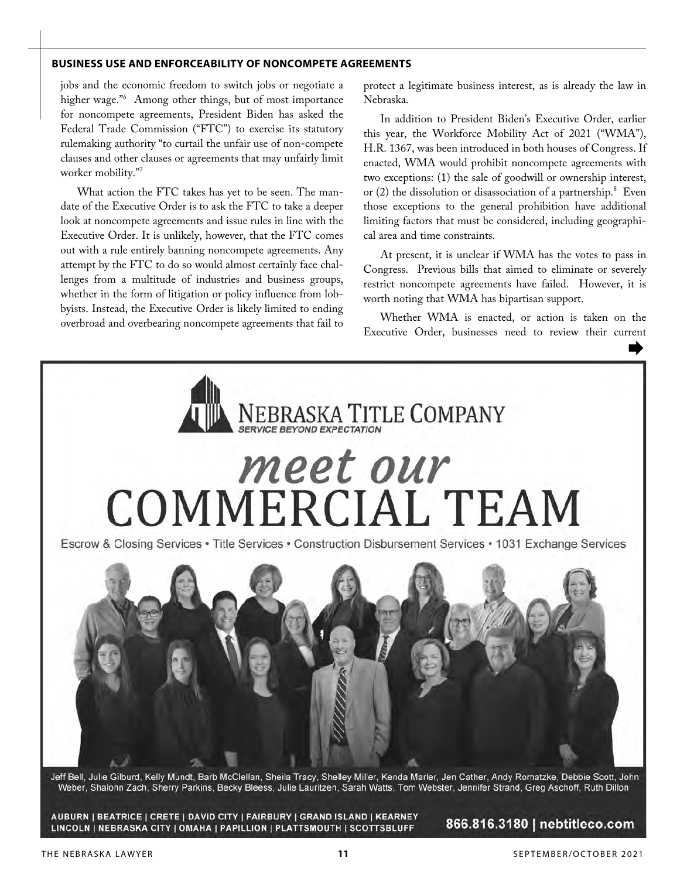#### **BUSINESS USE AND ENFORCEABILITY OF NONCOMPETE AGREEMENTS**

jobs and the economic freedom to switch jobs or negotiate a higher wage."6 Among other things, but of most importance for noncompete agreements, President Biden has asked the Federal Trade Commission ("FTC") to exercise its statutory rulemaking authority "to curtail the unfair use of non-compete clauses and other clauses or agreements that may unfairly limit worker mobility."<sup>7</sup>

What action the FTC takes has yet to be seen. The mandate of the Executive Order is to ask the FTC to take a deeper look at noncompete agreements and issue rules in line with the Executive Order. It is unlikely, however, that the FTC comes out with a rule entirely banning noncompete agreements. Any attempt by the FTC to do so would almost certainly face challenges from a multitude of industries and business groups, whether in the form of litigation or policy influence from lobbyists. Instead, the Executive Order is likely limited to ending overbroad and overbearing noncompete agreements that fail to

protect a legitimate business interest, as is already the law in Nebraska.

In addition to President Biden's Executive Order, earlier this year, the Workforce Mobility Act of 2021 ("WMA"), H.R. 1367, was been introduced in both houses of Congress. If enacted, WMA would prohibit noncompete agreements with two exceptions: (1) the sale of goodwill or ownership interest, or (2) the dissolution or disassociation of a partnership.<sup>8</sup> Even those exceptions to the general prohibition have additional limiting factors that must be considered, including geographical area and time constraints.

At present, it is unclear if WMA has the votes to pass in Congress. Previous bills that aimed to eliminate or severely restrict noncompete agreements have failed. However, it is worth noting that WMA has bipartisan support.

Whether WMA is enacted, or action is taken on the Executive Order, businesses need to review their current